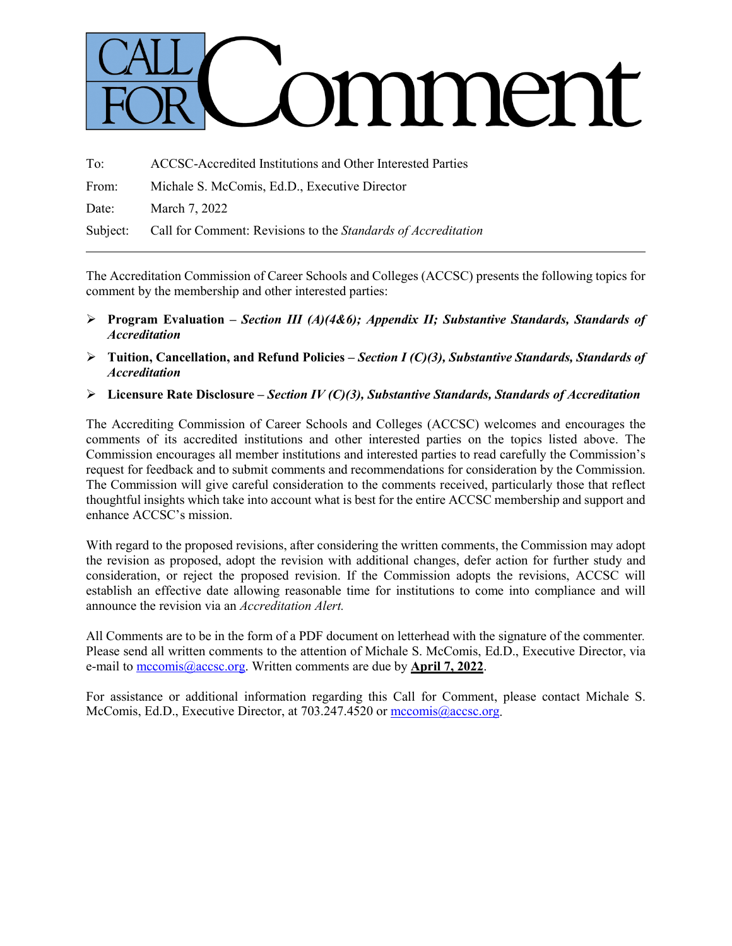# omment

| To: | ACCSC-Accredited Institutions and Other Interested Parties             |
|-----|------------------------------------------------------------------------|
|     | From: Michale S. McComis, Ed.D., Executive Director                    |
|     | Date: March 7, 2022                                                    |
|     | Subject: Call for Comment: Revisions to the Standards of Accreditation |

The Accreditation Commission of Career Schools and Colleges (ACCSC) presents the following topics for comment by the membership and other interested parties:

- **Program Evaluation –** *Section III (A)(4&6); Appendix II; Substantive Standards, Standards of Accreditation*
- **Tuition, Cancellation, and Refund Policies** *– Section I (C)(3), Substantive Standards, Standards of Accreditation*
- **Licensure Rate Disclosure –** *Section IV (C)(3), Substantive Standards, Standards of Accreditation*

The Accrediting Commission of Career Schools and Colleges (ACCSC) welcomes and encourages the comments of its accredited institutions and other interested parties on the topics listed above. The Commission encourages all member institutions and interested parties to read carefully the Commission's request for feedback and to submit comments and recommendations for consideration by the Commission. The Commission will give careful consideration to the comments received, particularly those that reflect thoughtful insights which take into account what is best for the entire ACCSC membership and support and enhance ACCSC's mission.

With regard to the proposed revisions, after considering the written comments, the Commission may adopt the revision as proposed, adopt the revision with additional changes, defer action for further study and consideration, or reject the proposed revision. If the Commission adopts the revisions, ACCSC will establish an effective date allowing reasonable time for institutions to come into compliance and will announce the revision via an *Accreditation Alert.*

All Comments are to be in the form of a PDF document on letterhead with the signature of the commenter*.*  Please send all written comments to the attention of Michale S. McComis, Ed.D., Executive Director, via e-mail to [mccomis@accsc.org.](mailto:mccomis@accsc.org) Written comments are due by **April 7, 2022**.

For assistance or additional information regarding this Call for Comment, please contact Michale S. McComis, Ed.D., Executive Director, at 703.247.4520 or [mccomis@accsc.org.](mailto:mccomis@accsc.org)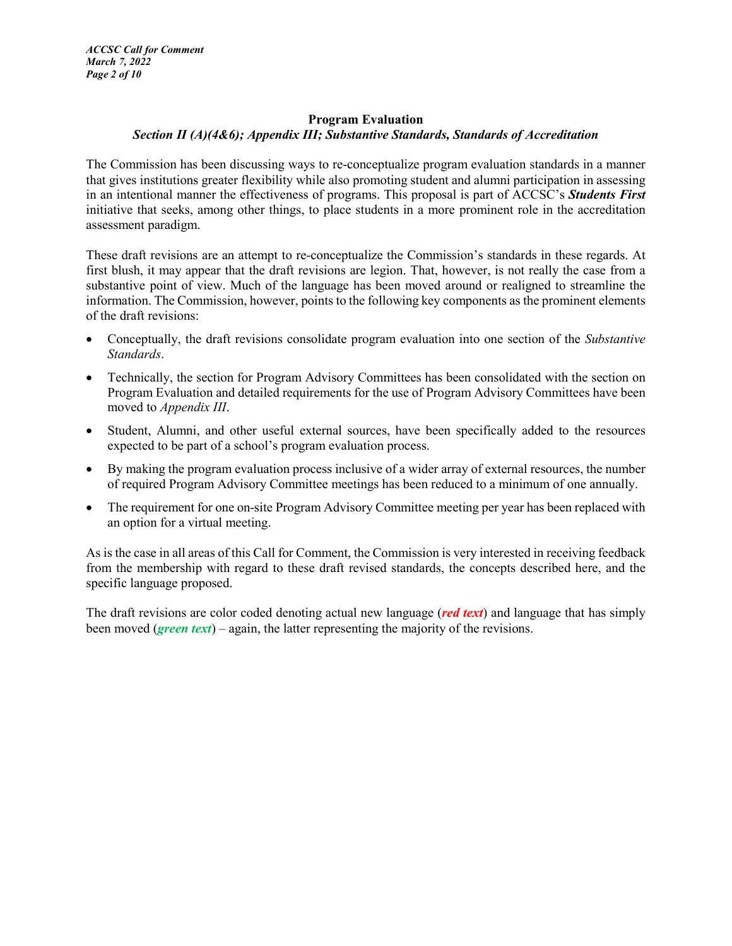# **Program Evaluation** *Section II (A)(4&6); Appendix III; Substantive Standards, Standards of Accreditation*

The Commission has been discussing ways to re-conceptualize program evaluation standards in a manner that gives institutions greater flexibility while also promoting student and alumni participation in assessing in an intentional manner the effectiveness of programs. This proposal is part of ACCSC's *Students First* initiative that seeks, among other things, to place students in a more prominent role in the accreditation assessment paradigm.

These draft revisions are an attempt to re-conceptualize the Commission's standards in these regards. At first blush, it may appear that the draft revisions are legion. That, however, is not really the case from a substantive point of view. Much of the language has been moved around or realigned to streamline the information. The Commission, however, points to the following key components as the prominent elements of the draft revisions:

- Conceptually, the draft revisions consolidate program evaluation into one section of the *Substantive Standards*.
- Technically, the section for Program Advisory Committees has been consolidated with the section on Program Evaluation and detailed requirements for the use of Program Advisory Committees have been moved to *Appendix III*.
- Student, Alumni, and other useful external sources, have been specifically added to the resources expected to be part of a school's program evaluation process.
- By making the program evaluation process inclusive of a wider array of external resources, the number of required Program Advisory Committee meetings has been reduced to a minimum of one annually.
- The requirement for one on-site Program Advisory Committee meeting per year has been replaced with an option for a virtual meeting.

As is the case in all areas of this Call for Comment, the Commission is very interested in receiving feedback from the membership with regard to these draft revised standards, the concepts described here, and the specific language proposed.

The draft revisions are color coded denoting actual new language (*red text*) and language that has simply been moved (*green text*) – again, the latter representing the majority of the revisions.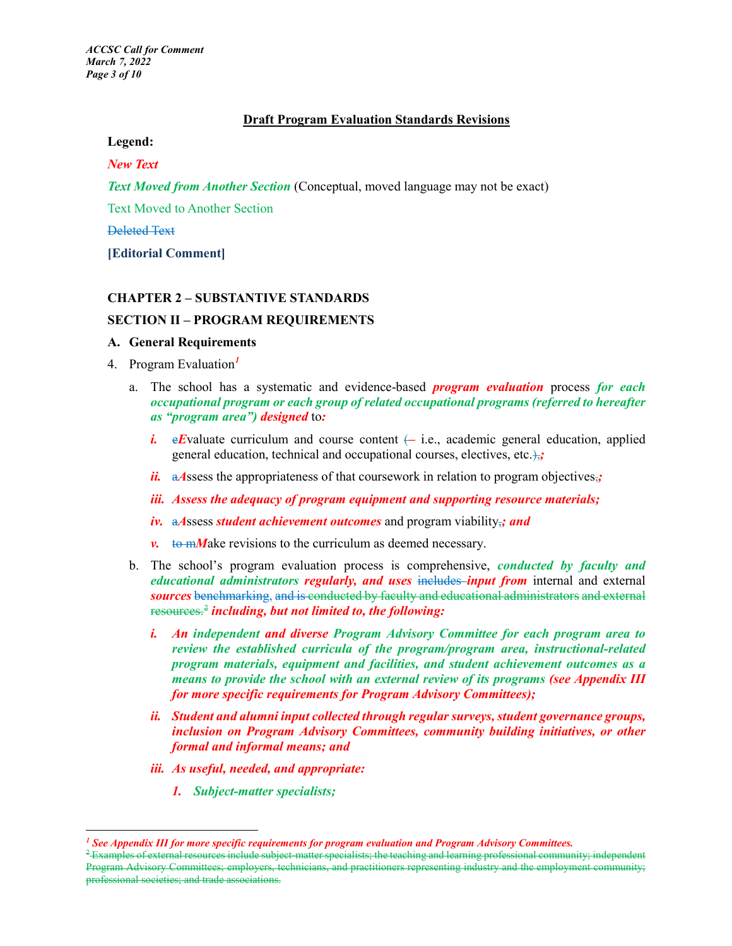#### **Draft Program Evaluation Standards Revisions**

#### **Legend:**

#### *New Text*

*Text Moved from Another Section* (Conceptual, moved language may not be exact)

Text Moved to Another Section

Deleted Text

 $\overline{a}$ 

**[Editorial Comment]**

#### **CHAPTER 2 – SUBSTANTIVE STANDARDS**

#### **SECTION II – PROGRAM REQUIREMENTS**

#### **A. General Requirements**

- 4. Program Evaluation*[1](#page-2-0)*
	- a. The school has a systematic and evidence-based *program evaluation* process *for each occupational program or each group of related occupational programs (referred to hereafter as "program area") designed* to*:*
		- *i.* e*E*valuate curriculum and course content  $\leftarrow$  i.e., academic general education, applied general education, technical and occupational courses, electives, etc.),*;*
		- *ii.* a Assess the appropriateness of that coursework in relation to program objectives,;
		- *iii. Assess the adequacy of program equipment and supporting resource materials;*
		- *iv.* a*A*ssess *student achievement outcomes* and program viability,*; and*
		- $\nu$ . to m*M*ake revisions to the curriculum as deemed necessary.
	- b. The school's program evaluation process is comprehensive, *conducted by faculty and educational administrators regularly, and uses includes input from internal and external sources* benchmarking, and is conducted by faculty and educational administrators and external resources.[2](#page-2-1) *including, but not limited to, the following:*
		- *i. An independent and diverse Program Advisory Committee for each program area to review the established curricula of the program/program area, instructional-related program materials, equipment and facilities, and student achievement outcomes as a means to provide the school with an external review of its programs (see Appendix III for more specific requirements for Program Advisory Committees);*
		- *ii. Student and alumni input collected through regular surveys, student governance groups, inclusion on Program Advisory Committees, community building initiatives, or other formal and informal means; and*
		- *iii. As useful, needed, and appropriate:*
			- *1. Subject-matter specialists;*

<span id="page-2-0"></span>*<sup>1</sup> See Appendix III for more specific requirements for program evaluation and Program Advisory Committees.*

<span id="page-2-1"></span><sup>&</sup>lt;sup>2</sup> Examples of external resources include subject-matter specialists; the teaching and learning professional community; independent Program Advisory Committees; employers, technicians, and practitioners representing industry and the employment community; professional societies; and trade associations.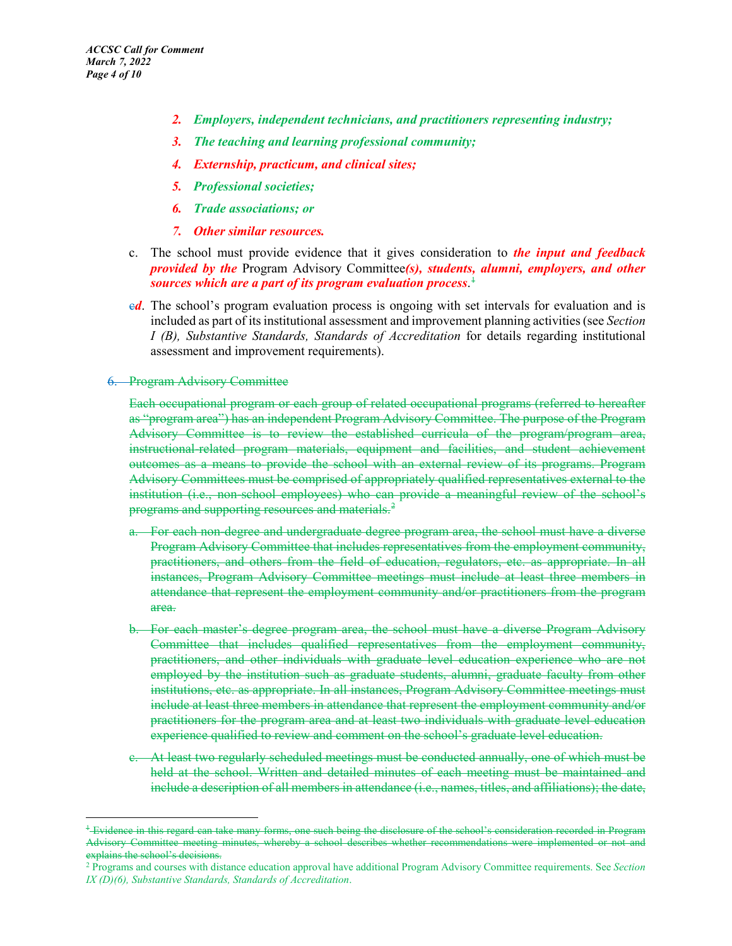- *2. Employers, independent technicians, and practitioners representing industry;*
- *3. The teaching and learning professional community;*
- *4. Externship, practicum, and clinical sites;*
- *5. Professional societies;*
- *6. Trade associations; or*
- *7. Other similar resources.*
- c. The school must provide evidence that it gives consideration to *the input and feedback provided by the* Program Advisory Committee*(s), students, alumni, employers, and other sources which are a part of its program evaluation process*. [1](#page-3-0)
- *ed*. The school's program evaluation process is ongoing with set intervals for evaluation and is included as part of its institutional assessment and improvement planning activities(see *Section I (B), Substantive Standards, Standards of Accreditation* for details regarding institutional assessment and improvement requirements).

#### 6. Program Advisory Committee

Each occupational program or each group of related occupational programs (referred to hereafter as "program area") has an independent Program Advisory Committee. The purpose of the Program Advisory Committee is to review the established curricula of the program/program area, instructional-related program materials, equipment and facilities, and student achievement outcomes as a means to provide the school with an external review of its programs. Program Advisory Committees must be comprised of appropriately qualified representatives external to the institution (i.e., non-school employees) who can provide a meaningful review of the school's programs and supporting resources and materials.<sup>[2](#page-3-1)</sup>

- a. For each non-degree and undergraduate degree program area, the school must have a diverse Program Advisory Committee that includes representatives from the employment community, practitioners, and others from the field of education, regulators, etc. as appropriate. In all instances, Program Advisory Committee meetings must include at least three members in attendance that represent the employment community and/or practitioners from the program area.
- b. For each master's degree program area, the school must have a diverse Program Advisory Committee that includes qualified representatives from the employment community, practitioners, and other individuals with graduate level education experience who are not employed by the institution such as graduate students, alumni, graduate faculty from other institutions, etc. as appropriate. In all instances, Program Advisory Committee meetings must include at least three members in attendance that represent the employment community and/or practitioners for the program area and at least two individuals with graduate level education experience qualified to review and comment on the school's graduate level education.
- c. At least two regularly scheduled meetings must be conducted annually, one of which must be held at the school. Written and detailed minutes of each meeting must be maintained and include a description of all members in attendance (i.e., names, titles, and affiliations); the date,

<span id="page-3-0"></span><sup>&</sup>lt;sup>1</sup> Evidence in this regard can take many forms, one such being the disclosure of the school's consideration recorded in Program Advisory Committee meeting minutes, whereby a school describes whether recommendations were implemented or not and explains the school's decisions.

<span id="page-3-1"></span><sup>2</sup> Programs and courses with distance education approval have additional Program Advisory Committee requirements. See *Section IX (D)(6), Substantive Standards, Standards of Accreditation*.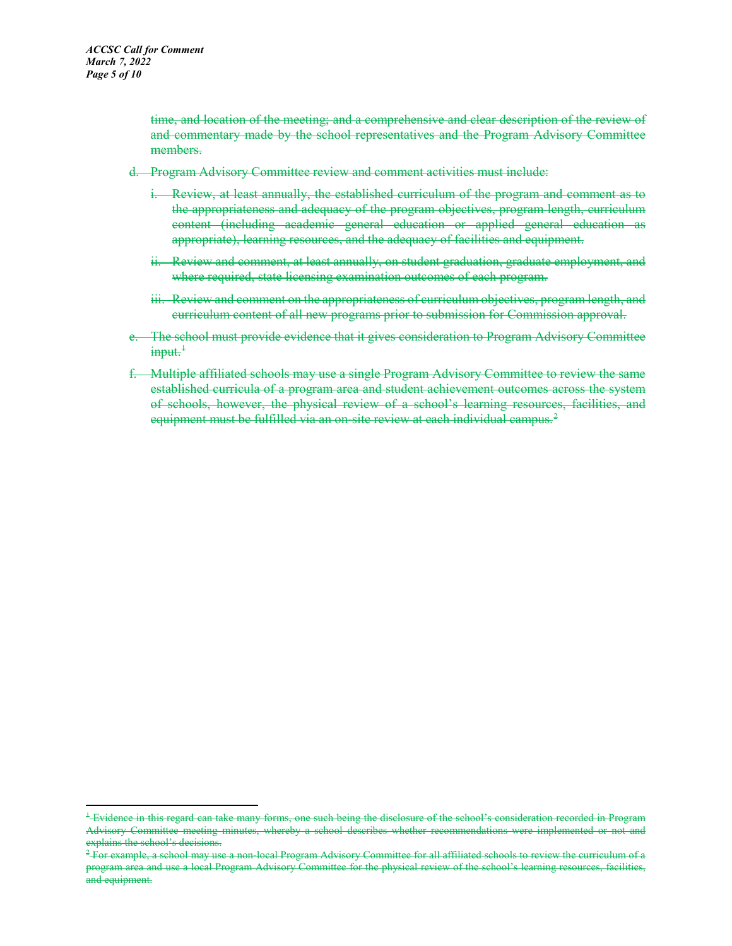time, and location of the meeting; and a comprehensive and clear description of the review of and commentary made by the school representatives and the Program Advisory Committee members.

- d. Program Advisory Committee review and comment activities must include:
	- i. Review, at least annually, the established curriculum of the program and comment as to the appropriateness and adequacy of the program objectives, program length, curriculum content (including academic general education or applied general education as appropriate), learning resources, and the adequacy of facilities and equipment.
	- ii. Review and comment, at least annually, on student graduation, graduate employment, and where required, state licensing examination outcomes of each program.
	- iii. Review and comment on the appropriateness of curriculum objectives, program length, and curriculum content of all new programs prior to submission for Commission approval.
- e. The school must provide evidence that it gives consideration to Program Advisory Committee  $\text{input.}^{\ddagger}$
- f. Multiple affiliated schools may use a single Program Advisory Committee to review the same established curricula of a program area and student achievement outcomes across the system of schools, however, the physical review of a school's learning resources, facilities, and equipment must be fulfilled via an on-site review at each individual campus.<sup>[2](#page-4-1)</sup>

<span id="page-4-0"></span><sup>&</sup>lt;sup>1</sup> Evidence in this regard can take many forms, one such being the disclosure of the school's consideration recorded in Program Advisory Committee meeting minutes, whereby a school describes whether recommendations were implemented or not and explains the school's decisions.

<span id="page-4-1"></span> $^2$  For example, a school may use a non-local Program Advisory Committee for all affiliated schools to review the curriculum of a program area and use a local Program Advisory Committee for the physical review of the school's learning resources, facilities, and equipment.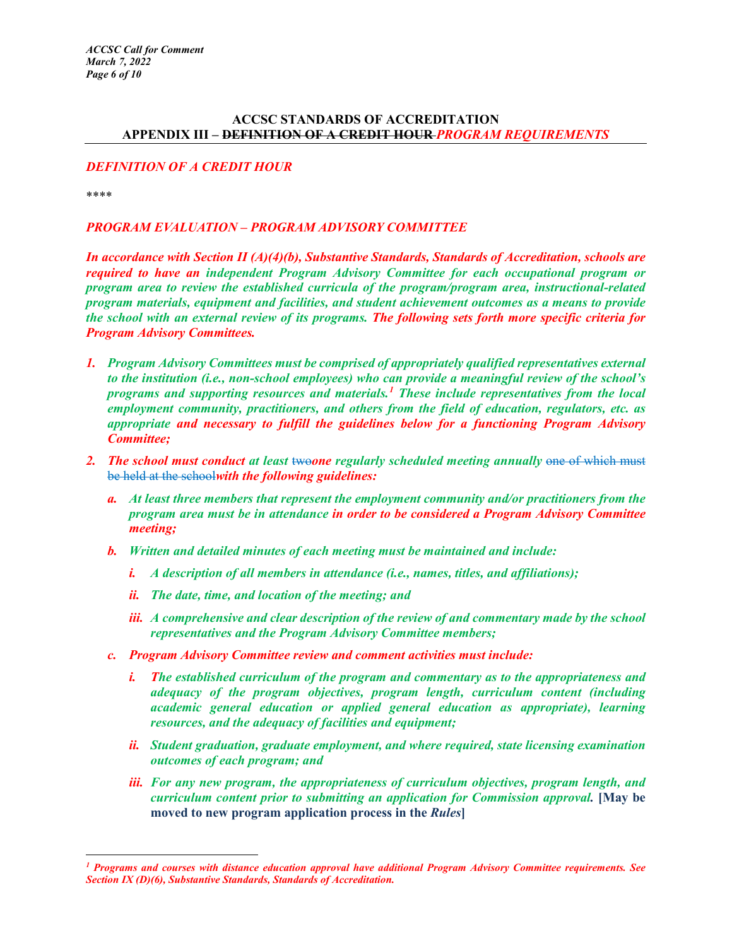## **ACCSC STANDARDS OF ACCREDITATION APPENDIX III – DEFINITION OF A CREDIT HOUR** *PROGRAM REQUIREMENTS*

## *DEFINITION OF A CREDIT HOUR*

\*\*\*\*

 $\overline{a}$ 

# *PROGRAM EVALUATION – PROGRAM ADVISORY COMMITTEE*

*In accordance with Section II (A)(4)(b), Substantive Standards, Standards of Accreditation, schools are required to have an independent Program Advisory Committee for each occupational program or program area to review the established curricula of the program/program area, instructional-related program materials, equipment and facilities, and student achievement outcomes as a means to provide the school with an external review of its programs. The following sets forth more specific criteria for Program Advisory Committees.*

- *1. Program Advisory Committees must be comprised of appropriately qualified representatives external to the institution (i.e., non-school employees) who can provide a meaningful review of the school's programs and supporting resources and materials.[1](#page-5-0) These include representatives from the local employment community, practitioners, and others from the field of education, regulators, etc. as appropriate and necessary to fulfill the guidelines below for a functioning Program Advisory Committee;*
- 2. *The school must conduct at least weone regularly scheduled meeting annually one of which must* be held at the school*with the following guidelines:*
	- *a. At least three members that represent the employment community and/or practitioners from the program area must be in attendance in order to be considered a Program Advisory Committee meeting;*
	- *b. Written and detailed minutes of each meeting must be maintained and include:*
		- *i. A description of all members in attendance (i.e., names, titles, and affiliations);*
		- *ii. The date, time, and location of the meeting; and*
		- *iii. A comprehensive and clear description of the review of and commentary made by the school representatives and the Program Advisory Committee members;*
	- *c. Program Advisory Committee review and comment activities must include:*
		- *i. The established curriculum of the program and commentary as to the appropriateness and adequacy of the program objectives, program length, curriculum content (including academic general education or applied general education as appropriate), learning resources, and the adequacy of facilities and equipment;*
		- *ii. Student graduation, graduate employment, and where required, state licensing examination outcomes of each program; and*
		- *iii. For any new program, the appropriateness of curriculum objectives, program length, and curriculum content prior to submitting an application for Commission approval.* **[May be moved to new program application process in the** *Rules***]**

<span id="page-5-0"></span>*<sup>1</sup> Programs and courses with distance education approval have additional Program Advisory Committee requirements. See Section IX (D)(6), Substantive Standards, Standards of Accreditation.*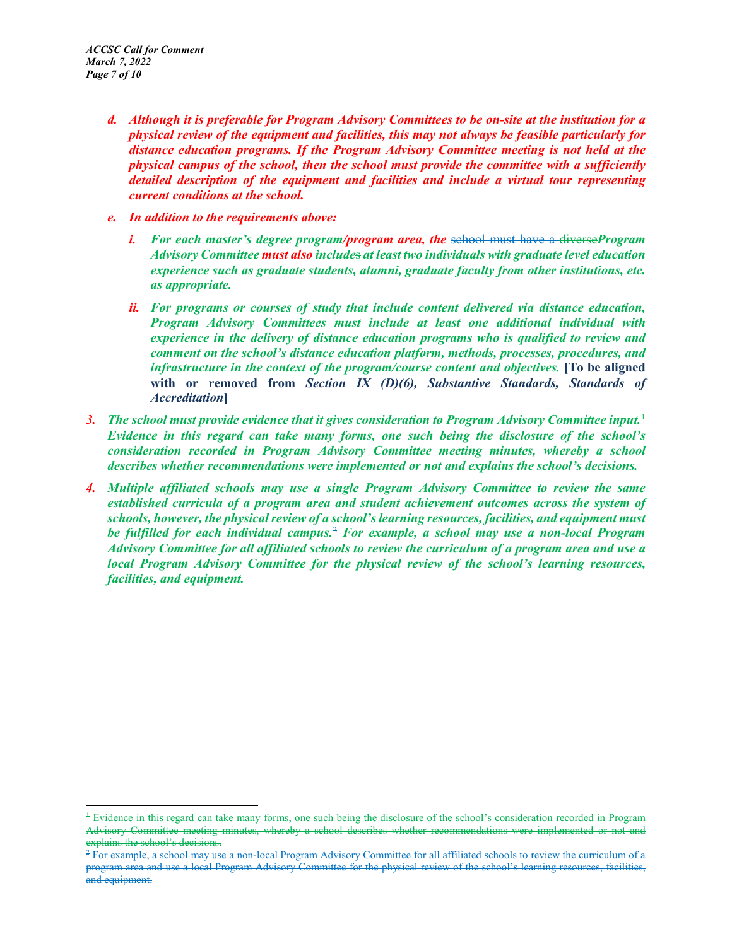- *d. Although it is preferable for Program Advisory Committees to be on-site at the institution for a physical review of the equipment and facilities, this may not always be feasible particularly for distance education programs. If the Program Advisory Committee meeting is not held at the physical campus of the school, then the school must provide the committee with a sufficiently detailed description of the equipment and facilities and include a virtual tour representing current conditions at the school.*
- *e. In addition to the requirements above:*
	- *i. For each master's degree program/program area, the* school must have a diverse*Program Advisory Committee must also include*s *at least two individuals with graduate level education experience such as graduate students, alumni, graduate faculty from other institutions, etc. as appropriate.*
	- *ii. For programs or courses of study that include content delivered via distance education, Program Advisory Committees must include at least one additional individual with experience in the delivery of distance education programs who is qualified to review and comment on the school's distance education platform, methods, processes, procedures, and infrastructure in the context of the program/course content and objectives.* [To be aligned **with or removed from** *Section IX (D)(6), Substantive Standards, Standards of Accreditation***]**
- *3. The school must provide evidence that it gives consideration to Program Advisory Committee input.*[1](#page-6-0) *Evidence in this regard can take many forms, one such being the disclosure of the school's consideration recorded in Program Advisory Committee meeting minutes, whereby a school describes whether recommendations were implemented or not and explains the school's decisions.*
- *4. Multiple affiliated schools may use a single Program Advisory Committee to review the same established curricula of a program area and student achievement outcomes across the system of schools, however, the physical review of a school's learning resources, facilities, and equipment must be fulfilled for each individual campus.*[2](#page-6-1) *For example, a school may use a non-local Program Advisory Committee for all affiliated schools to review the curriculum of a program area and use a local Program Advisory Committee for the physical review of the school's learning resources, facilities, and equipment.*

<span id="page-6-0"></span><sup>&</sup>lt;sup>1</sup> Evidence in this regard can take many forms, one such being the disclosure of the school's consideration recorded in Program Advisory Committee meeting minutes, whereby a school describes whether recommendations were implemented or not and explains the school's decisions.

<span id="page-6-1"></span> $^2$  For example, a school may use a non-local Program Advisory Committee for all affiliated schools to review the curriculum of a program area and use a local Program Advisory Committee for the physical review of the school's learning resources, facilities, and equipment.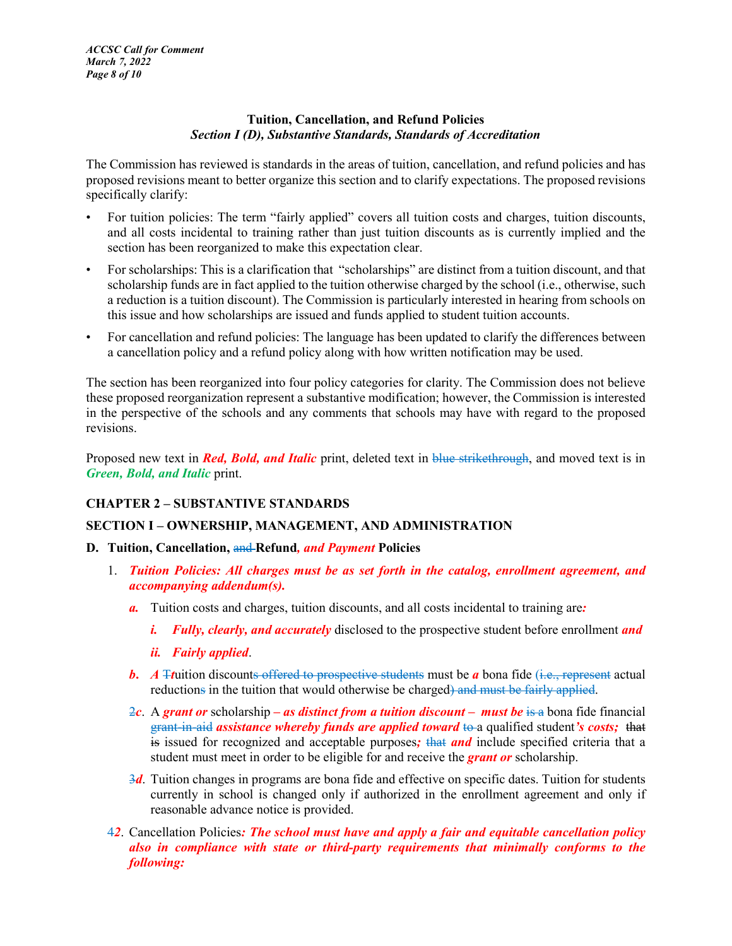## **Tuition, Cancellation, and Refund Policies** *Section I (D), Substantive Standards, Standards of Accreditation*

The Commission has reviewed is standards in the areas of tuition, cancellation, and refund policies and has proposed revisions meant to better organize this section and to clarify expectations. The proposed revisions specifically clarify:

- For tuition policies: The term "fairly applied" covers all tuition costs and charges, tuition discounts, and all costs incidental to training rather than just tuition discounts as is currently implied and the section has been reorganized to make this expectation clear.
- For scholarships: This is a clarification that "scholarships" are distinct from a tuition discount, and that scholarship funds are in fact applied to the tuition otherwise charged by the school (i.e., otherwise, such a reduction is a tuition discount). The Commission is particularly interested in hearing from schools on this issue and how scholarships are issued and funds applied to student tuition accounts.
- For cancellation and refund policies: The language has been updated to clarify the differences between a cancellation policy and a refund policy along with how written notification may be used.

The section has been reorganized into four policy categories for clarity. The Commission does not believe these proposed reorganization represent a substantive modification; however, the Commission is interested in the perspective of the schools and any comments that schools may have with regard to the proposed revisions.

Proposed new text in *Red, Bold, and Italic* print, deleted text in blue strikethrough, and moved text is in *Green, Bold, and Italic* print.

# **CHAPTER 2 – SUBSTANTIVE STANDARDS**

# **SECTION I – OWNERSHIP, MANAGEMENT, AND ADMINISTRATION**

## **D. Tuition, Cancellation,** and **Refund***, and Payment* **Policies**

- 1. *Tuition Policies: All charges must be as set forth in the catalog, enrollment agreement, and accompanying addendum(s).* 
	- *a.* Tuition costs and charges, tuition discounts, and all costs incidental to training are*:* 
		- *i. Fully, clearly, and accurately* disclosed to the prospective student before enrollment *and*
		- *ii. Fairly applied*.
	- *b. A* Truition discounts offered to prospective students must be *a* bona fide (i.e., represent actual reductions in the tuition that would otherwise be charged) and must be fairly applied.
	- 2*c*. A *grant or* scholarship *– as distinct from a tuition discount – must be* is a bona fide financial grant-in-aid *assistance whereby funds are applied toward* to a qualified student*'s costs;* that is issued for recognized and acceptable purposes*;* that *and* include specified criteria that a student must meet in order to be eligible for and receive the *grant or* scholarship.
	- 3*d*. Tuition changes in programs are bona fide and effective on specific dates. Tuition for students currently in school is changed only if authorized in the enrollment agreement and only if reasonable advance notice is provided.
- 4*2*. Cancellation Policies*: The school must have and apply a fair and equitable cancellation policy also in compliance with state or third-party requirements that minimally conforms to the following:*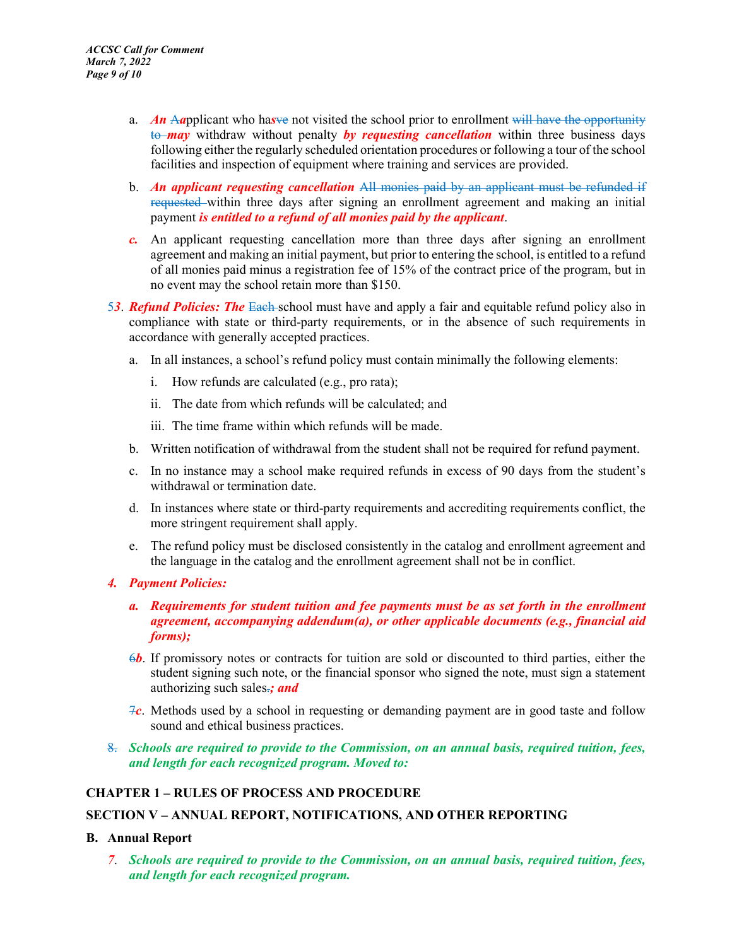- a. *An* A*a*pplicant who ha*s*ve not visited the school prior to enrollment will have the opportunity to *may* withdraw without penalty *by requesting cancellation* within three business days following either the regularly scheduled orientation procedures or following a tour of the school facilities and inspection of equipment where training and services are provided.
- b. *An applicant requesting cancellation* All monies paid by an applicant must be refunded if requested within three days after signing an enrollment agreement and making an initial payment *is entitled to a refund of all monies paid by the applicant*.
- *c.* An applicant requesting cancellation more than three days after signing an enrollment agreement and making an initial payment, but prior to entering the school, is entitled to a refund of all monies paid minus a registration fee of 15% of the contract price of the program, but in no event may the school retain more than \$150.
- 5*3*. *Refund Policies: The* Each school must have and apply a fair and equitable refund policy also in compliance with state or third-party requirements, or in the absence of such requirements in accordance with generally accepted practices.
	- a. In all instances, a school's refund policy must contain minimally the following elements:
		- i. How refunds are calculated (e.g., pro rata);
		- ii. The date from which refunds will be calculated; and
		- iii. The time frame within which refunds will be made.
	- b. Written notification of withdrawal from the student shall not be required for refund payment.
	- c. In no instance may a school make required refunds in excess of 90 days from the student's withdrawal or termination date.
	- d. In instances where state or third-party requirements and accrediting requirements conflict, the more stringent requirement shall apply.
	- e. The refund policy must be disclosed consistently in the catalog and enrollment agreement and the language in the catalog and the enrollment agreement shall not be in conflict.
- *4. Payment Policies:*
	- *a. Requirements for student tuition and fee payments must be as set forth in the enrollment agreement, accompanying addendum(a), or other applicable documents (e.g., financial aid forms);*
	- 6*b*. If promissory notes or contracts for tuition are sold or discounted to third parties, either the student signing such note, or the financial sponsor who signed the note, must sign a statement authorizing such sales.*; and*
	- 7*c*. Methods used by a school in requesting or demanding payment are in good taste and follow sound and ethical business practices.
- 8. *Schools are required to provide to the Commission, on an annual basis, required tuition, fees, and length for each recognized program. Moved to:*

## **CHAPTER 1 – RULES OF PROCESS AND PROCEDURE**

## **SECTION V – ANNUAL REPORT, NOTIFICATIONS, AND OTHER REPORTING**

#### **B. Annual Report**

*7*. *Schools are required to provide to the Commission, on an annual basis, required tuition, fees, and length for each recognized program.*